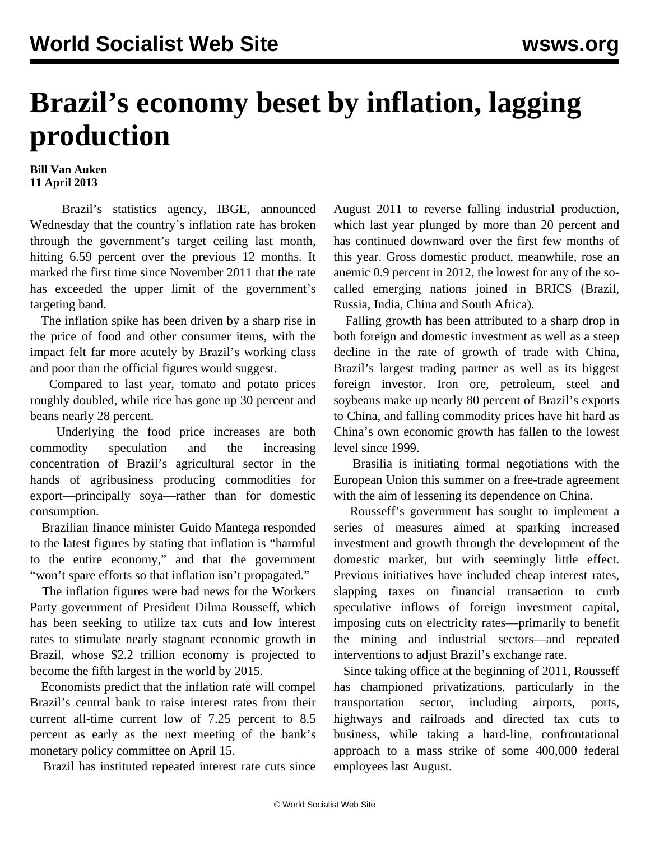## **Brazil's economy beset by inflation, lagging production**

## **Bill Van Auken 11 April 2013**

 Brazil's statistics agency, IBGE, announced Wednesday that the country's inflation rate has broken through the government's target ceiling last month, hitting 6.59 percent over the previous 12 months. It marked the first time since November 2011 that the rate has exceeded the upper limit of the government's targeting band.

 The inflation spike has been driven by a sharp rise in the price of food and other consumer items, with the impact felt far more acutely by Brazil's working class and poor than the official figures would suggest.

 Compared to last year, tomato and potato prices roughly doubled, while rice has gone up 30 percent and beans nearly 28 percent.

 Underlying the food price increases are both commodity speculation and the increasing concentration of Brazil's agricultural sector in the hands of agribusiness producing commodities for export—principally soya—rather than for domestic consumption.

 Brazilian finance minister Guido Mantega responded to the latest figures by stating that inflation is "harmful to the entire economy," and that the government "won't spare efforts so that inflation isn't propagated."

 The inflation figures were bad news for the Workers Party government of President Dilma Rousseff, which has been seeking to utilize tax cuts and low interest rates to stimulate nearly stagnant economic growth in Brazil, whose \$2.2 trillion economy is projected to become the fifth largest in the world by 2015.

 Economists predict that the inflation rate will compel Brazil's central bank to raise interest rates from their current all-time current low of 7.25 percent to 8.5 percent as early as the next meeting of the bank's monetary policy committee on April 15.

Brazil has instituted repeated interest rate cuts since

August 2011 to reverse falling industrial production, which last year plunged by more than 20 percent and has continued downward over the first few months of this year. Gross domestic product, meanwhile, rose an anemic 0.9 percent in 2012, the lowest for any of the socalled emerging nations joined in BRICS (Brazil, Russia, India, China and South Africa).

 Falling growth has been attributed to a sharp drop in both foreign and domestic investment as well as a steep decline in the rate of growth of trade with China, Brazil's largest trading partner as well as its biggest foreign investor. Iron ore, petroleum, steel and soybeans make up nearly 80 percent of Brazil's exports to China, and falling commodity prices have hit hard as China's own economic growth has fallen to the lowest level since 1999.

 Brasilia is initiating formal negotiations with the European Union this summer on a free-trade agreement with the aim of lessening its dependence on China.

 Rousseff's government has sought to implement a series of measures aimed at sparking increased investment and growth through the development of the domestic market, but with seemingly little effect. Previous initiatives have included cheap interest rates, slapping taxes on financial transaction to curb speculative inflows of foreign investment capital, imposing cuts on electricity rates—primarily to benefit the mining and industrial sectors—and repeated interventions to adjust Brazil's exchange rate.

 Since taking office at the beginning of 2011, Rousseff has championed privatizations, particularly in the transportation sector, including airports, ports, highways and railroads and directed tax cuts to business, while taking a hard-line, confrontational approach to a mass strike of some 400,000 federal employees last August.